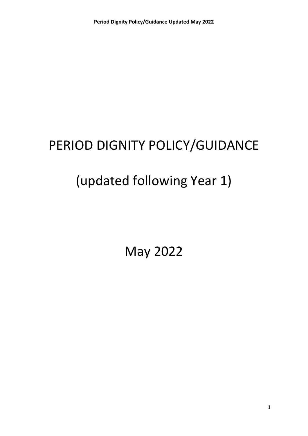# PERIOD DIGNITY POLICY/GUIDANCE

# (updated following Year 1)

May 2022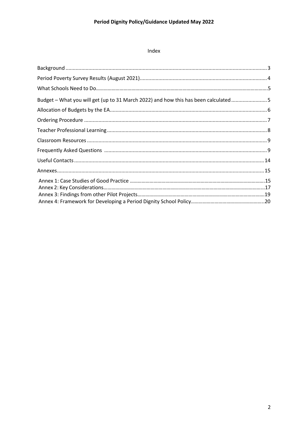## Index

| Budget – What you will get (up to 31 March 2022) and how this has been calculated5 |  |
|------------------------------------------------------------------------------------|--|
|                                                                                    |  |
|                                                                                    |  |
|                                                                                    |  |
|                                                                                    |  |
|                                                                                    |  |
|                                                                                    |  |
|                                                                                    |  |
|                                                                                    |  |
|                                                                                    |  |
|                                                                                    |  |
|                                                                                    |  |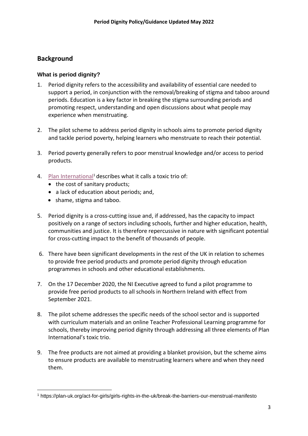## <span id="page-2-0"></span>**Background**

#### **What is period dignity?**

- 1. Period dignity refers to the accessibility and availability of essential care needed to support a period, in conjunction with the removal/breaking of stigma and taboo around periods. Education is a key factor in breaking the stigma surrounding periods and promoting respect, understanding and open discussions about what people may experience when menstruating.
- 2. The pilot scheme to address period dignity in schools aims to promote period dignity and tackle period poverty, helping learners who menstruate to reach their potential.
- 3. Period poverty generally refers to poor menstrual knowledge and/or access to period products.
- 4. [Plan International](https://plan-uk.org/act-for-girls/girls-rights-in-the-uk/break-the-barriers-our-menstrual-manifesto)<sup>1</sup> describes what it calls a toxic trio of:
	- the cost of sanitary products;
	- a lack of education about periods; and,
	- shame, stigma and taboo.
- 5. Period dignity is a cross-cutting issue and, if addressed, has the capacity to impact positively on a range of sectors including schools, further and higher education, health, communities and justice. It is therefore repercussive in nature with significant potential for cross-cutting impact to the benefit of thousands of people.
- 6. There have been significant developments in the rest of the UK in relation to schemes to provide free period products and promote period dignity through education programmes in schools and other educational establishments.
- 7. On the 17 December 2020, the NI Executive agreed to fund a pilot programme to provide free period products to all schools in Northern Ireland with effect from September 2021.
- 8. The pilot scheme addresses the specific needs of the school sector and is supported with curriculum materials and an online Teacher Professional Learning programme for schools, thereby improving period dignity through addressing all three elements of Plan International's toxic trio.
- 9. The free products are not aimed at providing a blanket provision, but the scheme aims to ensure products are available to menstruating learners where and when they need them.

<span id="page-2-1"></span><sup>1</sup> https://plan-uk.org/act-for-girls/girls-rights-in-the-uk/break-the-barriers-our-menstrual-manifesto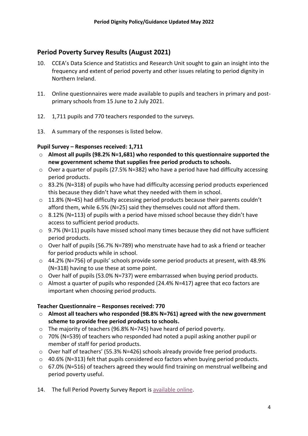# **Period Poverty Survey Results (August 2021)**

- 10. CCEA's Data Science and Statistics and Research Unit sought to gain an insight into the frequency and extent of period poverty and other issues relating to period dignity in Northern Ireland.
- 11. Online questionnaires were made available to pupils and teachers in primary and postprimary schools from 15 June to 2 July 2021.
- 12. 1,711 pupils and 770 teachers responded to the surveys.
- 13. A summary of the responses is listed below.

## **Pupil Survey – Responses received: 1,711**

- o **Almost all pupils (98.2% N=1,681) who responded to this questionnaire supported the new government scheme that supplies free period products to schools.**
- o Over a quarter of pupils (27.5% N=382) who have a period have had difficulty accessing period products.
- o 83.2% (N=318) of pupils who have had difficulty accessing period products experienced this because they didn't have what they needed with them in school.
- o 11.8% (N=45) had difficulty accessing period products because their parents couldn't afford them, while 6.5% (N=25) said they themselves could not afford them.
- $\circ$  8.12% (N=113) of pupils with a period have missed school because they didn't have access to sufficient period products.
- $\circ$  9.7% (N=11) pupils have missed school many times because they did not have sufficient period products.
- $\circ$  Over half of pupils (56.7% N=789) who menstruate have had to ask a friend or teacher for period products while in school.
- o 44.2% (N=756) of pupils' schools provide some period products at present, with 48.9% (N=318) having to use these at some point.
- $\circ$  Over half of pupils (53.0% N=737) were embarrassed when buying period products.
- $\circ$  Almost a quarter of pupils who responded (24.4% N=417) agree that eco factors are important when choosing period products.

#### **Teacher Questionnaire – Responses received: 770**

- o **Almost all teachers who responded (98.8% N=761) agreed with the new government scheme to provide free period products to schools.**
- o The majority of teachers (96.8% N=745) have heard of period poverty.
- o 70% (N=539) of teachers who responded had noted a pupil asking another pupil or member of staff for period products.
- o Over half of teachers' (55.3% N=426) schools already provide free period products.
- o 40.6% (N=313) felt that pupils considered eco factors when buying period products.
- o 67.0% (N=516) of teachers agreed they would find training on menstrual wellbeing and period poverty useful.
- 14. The full Period Poverty Survey Report is [available](https://ccea.org.uk/learning-resources/period-dignity) online.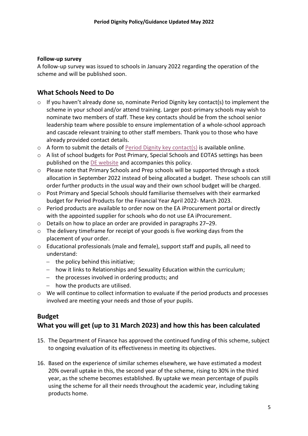#### **Follow-up survey**

A follow-up survey was issued to schools in January 2022 regarding the operation of the scheme and will be published soon.

## **What Schools Need to Do**

- o If you haven't already done so, nominate Period Dignity key contact(s) to implement the scheme in your school and/or attend training. Larger post-primary schools may wish to nominate two members of staff. These key contacts should be from the school senior leadership team where possible to ensure implementation of a whole-school approach and cascade relevant training to other staff members. Thank you to those who have already provided contact details.
- $\circ$  A form to submit the details of [Period Dignity key contact\(s\)](https://ccea.org.uk/period-dignity-updates-form) is available online.
- o A list of school budgets for Post Primary, Special Schools and EOTAS settings has been published on the [DE website](https://www.education-ni.gov.uk/articles/pilot-scheme-address-period-dignity-schools) and accompanies this policy.
- o Please note that Primary Schools and Prep schools will be supported through a stock allocation in September 2022 instead of being allocated a budget. These schools can still order further products in the usual way and their own school budget will be charged.
- o Post Primary and Special Schools should familiarise themselves with their earmarked budget for Period Products for the Financial Year April 2022- March 2023.
- o Period products are available to order now on the EA iProcurement portal or directly with the appointed supplier for schools who do not use EA iProcurement.
- o Details on how to place an order are provided in paragraphs 27–29.
- $\circ$  The delivery timeframe for receipt of your goods is five working days from the placement of your order.
- o Educational professionals (male and female), support staff and pupils, all need to understand:
	- − the policy behind this initiative;
	- − how it links to Relationships and Sexuality Education within the curriculum;
	- − the processes involved in ordering products; and
	- − how the products are utilised.
- $\circ$  We will continue to collect information to evaluate if the period products and processes involved are meeting your needs and those of your pupils.

## <span id="page-4-0"></span>**Budget**

## **What you will get (up to 31 March 2023) and how this has been calculated**

- 15. The Department of Finance has approved the continued funding of this scheme, subject to ongoing evaluation of its effectiveness in meeting its objectives.
- 16. Based on the experience of similar schemes elsewhere, we have estimated a modest 20% overall uptake in this, the second year of the scheme, rising to 30% in the third year, as the scheme becomes established. By uptake we mean percentage of pupils using the scheme for all their needs throughout the academic year, including taking products home.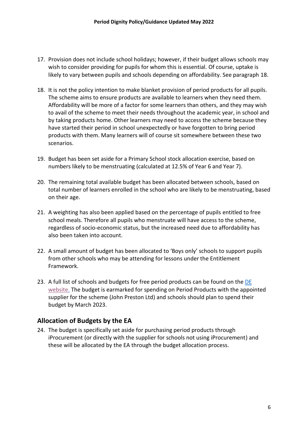- 17. Provision does not include school holidays; however, if their budget allows schools may wish to consider providing for pupils for whom this is essential. Of course, uptake is likely to vary between pupils and schools depending on affordability. See paragraph 18.
- 18. It is not the policy intention to make blanket provision of period products for all pupils. The scheme aims to ensure products are available to learners when they need them. Affordability will be more of a factor for some learners than others, and they may wish to avail of the scheme to meet their needs throughout the academic year, in school and by taking products home. Other learners may need to access the scheme because they have started their period in school unexpectedly or have forgotten to bring period products with them. Many learners will of course sit somewhere between these two scenarios.
- 19. Budget has been set aside for a Primary School stock allocation exercise, based on numbers likely to be menstruating (calculated at 12.5% of Year 6 and Year 7).
- 20. The remaining total available budget has been allocated between schools, based on total number of learners enrolled in the school who are likely to be menstruating, based on their age.
- 21. A weighting has also been applied based on the percentage of pupils entitled to free school meals. Therefore all pupils who menstruate will have access to the scheme, regardless of socio-economic status, but the increased need due to affordability has also been taken into account.
- 22. A small amount of budget has been allocated to 'Boys only' schools to support pupils from other schools who may be attending for lessons under the Entitlement Framework.
- 23. A full list of schools and budgets for free period products can be found on the DE [website.](https://www.education-ni.gov.uk/articles/pilot-scheme-address-period-dignity-schools) The budget is earmarked for spending on Period Products with the appointed supplier for the scheme (John Preston Ltd) and schools should plan to spend their budget by March 2023.

## <span id="page-5-0"></span>**Allocation of Budgets by the EA**

24. The budget is specifically set aside for purchasing period products through iProcurement (or directly with the supplier for schools not using iProcurement) and these will be allocated by the EA through the budget allocation process.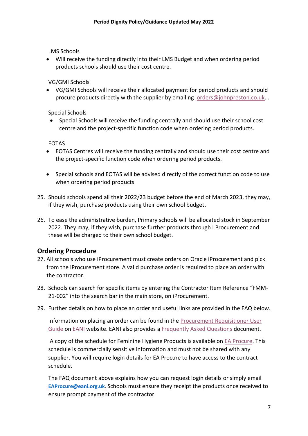LMS Schools

• Will receive the funding directly into their LMS Budget and when ordering period products schools should use their cost centre.

VG/GMI Schools

• VG/GMI Schools will receive their allocated payment for period products and should procure products directly with the supplier by emailing [orders@johnpreston.co.uk.](mailto:orders@johnpreston.co.uk).

Special Schools

• Special Schools will receive the funding centrally and should use their school cost centre and the project-specific function code when ordering period products.

EOTAS

- EOTAS Centres will receive the funding centrally and should use their cost centre and the project-specific function code when ordering period products.
- Special schools and EOTAS will be advised directly of the correct function code to use when ordering period products
- 25. Should schools spend all their 2022/23 budget before the end of March 2023, they may, if they wish, purchase products using their own school budget.
- 26. To ease the administrative burden, Primary schools will be allocated stock in September 2022. They may, if they wish, purchase further products through I Procurement and these will be charged to their own school budget.

# <span id="page-6-0"></span>**Ordering Procedure**

- 27. All schools who use iProcurement must create orders on Oracle iProcurement and pick from the iProcurement store. A valid purchase order is required to place an order with the contractor.
- 28. Schools can search for specific items by entering the Contractor Item Reference "FMM-21-002" into the search bar in the main store, on iProcurement.
- 29. Further details on how to place an order and useful links are provided in the FAQ below.

Information on placing an order can be found in the [Procurement Requisitioner User](https://www.eani.org.uk/sites/default/files/2020-06/iProcurement%20Requisitioner%20User%20Guide%20May%202020.pdf)  [Guide](https://www.eani.org.uk/sites/default/files/2020-06/iProcurement%20Requisitioner%20User%20Guide%20May%202020.pdf) on [EANI](https://www.eani.org.uk/) website. EANI also provides a [Frequently Asked Questions](https://www.eani.org.uk/sites/default/files/2020-06/Frequently%20Asked%20Questions%2021.05.2020.pdf) document.

A copy of the schedule for Feminine Hygiene Products is available on [EA Procure.](https://procurement.eani.org.uk/) This schedule is commercially sensitive information and must not be shared with any supplier. You will require login details for EA Procure to have access to the contract schedule.

The FAQ document above explains how you can request login details or simply email **[EAProcure@eani.org.uk](mailto:EAProcure@eani.org.uk)**. Schools must ensure they receipt the products once received to ensure prompt payment of the contractor.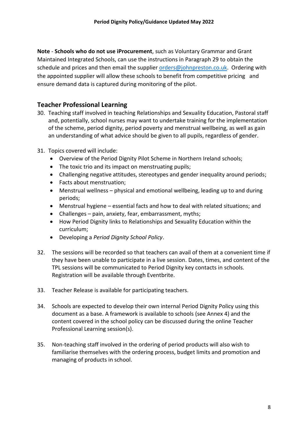**Note** - **Schools who do not use iProcurement**, such as Voluntary Grammar and Grant Maintained Integrated Schools, can use the instructions in Paragraph 29 to obtain the schedule and prices and then email the supplier [orders@johnpreston.co.uk.](mailto:orders@johnpreston.co.uk) Ordering with the appointed supplier will allow these schools to benefit from competitive pricing and ensure demand data is captured during monitoring of the pilot.

# <span id="page-7-0"></span>**Teacher Professional Learning**

- 30. Teaching staff involved in teaching Relationships and Sexuality Education, Pastoral staff and, potentially, school nurses may want to undertake training for the implementation of the scheme, period dignity, period poverty and menstrual wellbeing, as well as gain an understanding of what advice should be given to all pupils, regardless of gender.
- 31. Topics covered will include:
	- Overview of the Period Dignity Pilot Scheme in Northern Ireland schools;
	- The toxic trio and its impact on menstruating pupils;
	- Challenging negative attitudes, stereotypes and gender inequality around periods;
	- Facts about menstruation;
	- Menstrual wellness physical and emotional wellbeing, leading up to and during periods;
	- Menstrual hygiene essential facts and how to deal with related situations; and
	- Challenges pain, anxiety, fear, embarrassment, myths;
	- How Period Dignity links to Relationships and Sexuality Education within the curriculum;
	- Developing a *Period Dignity School Policy*.
- 32. The sessions will be recorded so that teachers can avail of them at a convenient time if they have been unable to participate in a live session. Dates, times, and content of the TPL sessions will be communicated to Period Dignity key contacts in schools. Registration will be available through Eventbrite.
- 33. Teacher Release is available for participating teachers.
- 34. Schools are expected to develop their own internal Period Dignity Policy using this document as a base. A framework is available to schools (see Annex 4) and the content covered in the school policy can be discussed during the online Teacher Professional Learning session(s).
- <span id="page-7-1"></span>35. Non-teaching staff involved in the ordering of period products will also wish to familiarise themselves with the ordering process, budget limits and promotion and managing of products in school.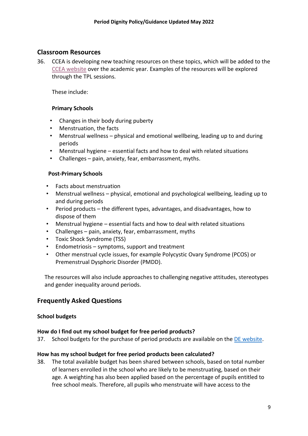# **Classroom Resources**

36. CCEA is developing new teaching resources on these topics, which will be added to the [CCEA website](https://ccea.org.uk/learning-resources/period-dignity) over the academic year. Examples of the resources will be explored through the TPL sessions.

These include:

## **Primary Schools**

- Changes in their body during puberty
- Menstruation, the facts
- Menstrual wellness physical and emotional wellbeing, leading up to and during periods
- Menstrual hygiene essential facts and how to deal with related situations
- Challenges pain, anxiety, fear, embarrassment, myths.

#### **Post-Primary Schools**

- Facts about menstruation
- Menstrual wellness physical, emotional and psychological wellbeing, leading up to and during periods
- Period products the different types, advantages, and disadvantages, how to dispose of them
- Menstrual hygiene essential facts and how to deal with related situations
- Challenges pain, anxiety, fear, embarrassment, myths
- Toxic Shock Syndrome (TSS)
- Endometriosis symptoms, support and treatment
- Other menstrual cycle issues, for example Polycystic Ovary Syndrome (PCOS) or Premenstrual Dysphoric Disorder (PMDD).

The resources will also include approaches to challenging negative attitudes, stereotypes and gender inequality around periods.

# <span id="page-8-0"></span>**Frequently Asked Questions**

#### **School budgets**

#### **How do I find out my school budget for free period products?**

37. School budgets for the purchase of period products are available on th[e DE website.](https://www.education-ni.gov.uk/publications/period-dignity)

#### **How has my school budget for free period products been calculated?**

38. The total available budget has been shared between schools, based on total number of learners enrolled in the school who are likely to be menstruating, based on their age. A weighting has also been applied based on the percentage of pupils entitled to free school meals. Therefore, all pupils who menstruate will have access to the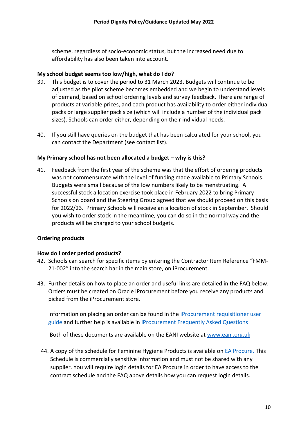scheme, regardless of socio-economic status, but the increased need due to affordability has also been taken into account.

#### **My school budget seems too low/high, what do I do?**

- 39. This budget is to cover the period to 31 March 2023. Budgets will continue to be adjusted as the pilot scheme becomes embedded and we begin to understand levels of demand, based on school ordering levels and survey feedback. There are range of products at variable prices, and each product has availability to order either individual packs or large supplier pack size (which will include a number of the individual pack sizes). Schools can order either, depending on their individual needs.
- 40. If you still have queries on the budget that has been calculated for your school, you can contact the Department (see contact list).

#### **My Primary school has not been allocated a budget – why is this?**

41. Feedback from the first year of the scheme was that the effort of ordering products was not commensurate with the level of funding made available to Primary Schools. Budgets were small because of the low numbers likely to be menstruating. A successful stock allocation exercise took place in February 2022 to bring Primary Schools on board and the Steering Group agreed that we should proceed on this basis for 2022/23. Primary Schools will receive an allocation of stock in September. Should you wish to order stock in the meantime, you can do so in the normal way and the products will be charged to your school budgets.

#### **Ordering products**

#### **How do I order period products?**

- 42. Schools can search for specific items by entering the Contractor Item Reference "FMM-21-002" into the search bar in the main store, on iProcurement.
- 43. Further details on how to place an order and useful links are detailed in the FAQ below. Orders must be created on Oracle iProcurement before you receive any products and picked from the iProcurement store.

Information on placing an order can be found in the [iProcurement requisitioner user](https://www.eani.org.uk/sites/default/files/2020-06/iProcurement%20Requisitioner%20User%20Guide%20May%202020.pdf)  [guide](https://www.eani.org.uk/sites/default/files/2020-06/iProcurement%20Requisitioner%20User%20Guide%20May%202020.pdf) and further help is available in [iProcurement Frequently Asked Questions](https://www.eani.org.uk/sites/default/files/2020-06/Frequently%20Asked%20Questions%2021.05.2020.pdf)

Both of these documents are available on the EANI website at [www.eani.org.uk](file:///C:/Users/dcoffey/AppData/Local/Microsoft/Windows/INetCache/Content.Outlook/SFMU7U97/www.eani.org.uk)

44. A copy of the schedule for Feminine Hygiene Products is available o[n EA Procure.](https://procurement.eani.org.uk/) This Schedule is commercially sensitive information and must not be shared with any supplier. You will require login details for EA Procure in order to have access to the contract schedule and the FAQ above details how you can request login details.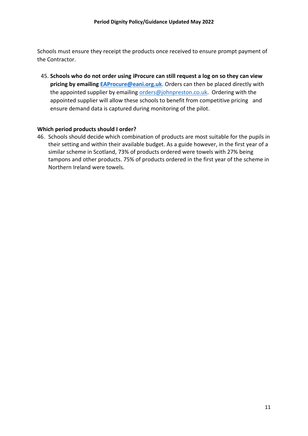Schools must ensure they receipt the products once received to ensure prompt payment of the Contractor.

45. **Schools who do not order using iProcure can still request a log on so they can view pricing by emailing [EAProcure@eani.org.uk](mailto:EAProcure@eani.org.uk)**. Orders can then be placed directly with the appointed supplier by emailing [orders@johnpreston.co.uk.](mailto:orders@johnpreston.co.uk) Ordering with the appointed supplier will allow these schools to benefit from competitive pricing and ensure demand data is captured during monitoring of the pilot.

#### **Which period products should I order?**

46. Schools should decide which combination of products are most suitable for the pupils in their setting and within their available budget. As a guide however, in the first year of a similar scheme in Scotland, 73% of products ordered were towels with 27% being tampons and other products. 75% of products ordered in the first year of the scheme in Northern Ireland were towels.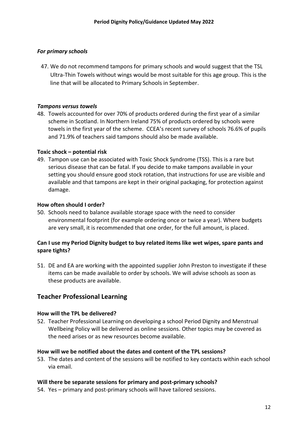#### *For primary schools*

47. We do not recommend tampons for primary schools and would suggest that the TSL Ultra-Thin Towels without wings would be most suitable for this age group. This is the line that will be allocated to Primary Schools in September.

#### *Tampons versus towels*

48. Towels accounted for over 70% of products ordered during the first year of a similar scheme in Scotland. In Northern Ireland 75% of products ordered by schools were towels in the first year of the scheme. CCEA's recent survey of schools 76.6% of pupils and 71.9% of teachers said tampons should also be made available.

#### **Toxic shock – potential risk**

49. Tampon use can be associated with Toxic Shock Syndrome (TSS). This is a rare but serious disease that can be fatal. If you decide to make tampons available in your setting you should ensure good stock rotation, that instructions for use are visible and available and that tampons are kept in their original packaging, for protection against damage.

#### **How often should I order?**

50. Schools need to balance available storage space with the need to consider environmental footprint (for example ordering once or twice a year). Where budgets are very small, it is recommended that one order, for the full amount, is placed.

#### **Can I use my Period Dignity budget to buy related items like wet wipes, spare pants and spare tights?**

51. DE and EA are working with the appointed supplier John Preston to investigate if these items can be made available to order by schools. We will advise schools as soon as these products are available.

#### **Teacher Professional Learning**

#### **How will the TPL be delivered?**

52. Teacher Professional Learning on developing a school Period Dignity and Menstrual Wellbeing Policy will be delivered as online sessions. Other topics may be covered as the need arises or as new resources become available.

#### **How will we be notified about the dates and content of the TPL sessions?**

53. The dates and content of the sessions will be notified to key contacts within each school via email.

#### **Will there be separate sessions for primary and post-primary schools?**

54. Yes – primary and post-primary schools will have tailored sessions.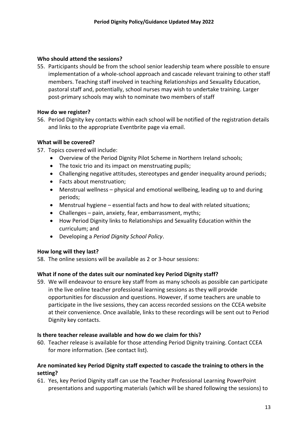#### **Who should attend the sessions?**

55. Participants should be from the school senior leadership team where possible to ensure implementation of a whole-school approach and cascade relevant training to other staff members. Teaching staff involved in teaching Relationships and Sexuality Education, pastoral staff and, potentially, school nurses may wish to undertake training. Larger post-primary schools may wish to nominate two members of staff

#### **How do we register?**

56. Period Dignity key contacts within each school will be notified of the registration details and links to the appropriate Eventbrite page via email.

#### **What will be covered?**

- 57. Topics covered will include:
	- Overview of the Period Dignity Pilot Scheme in Northern Ireland schools;
	- The toxic trio and its impact on menstruating pupils;
	- Challenging negative attitudes, stereotypes and gender inequality around periods;
	- Facts about menstruation;
	- Menstrual wellness physical and emotional wellbeing, leading up to and during periods;
	- Menstrual hygiene essential facts and how to deal with related situations;
	- Challenges pain, anxiety, fear, embarrassment, myths;
	- How Period Dignity links to Relationships and Sexuality Education within the curriculum; and
	- Developing a *Period Dignity School Policy*.

#### **How long will they last?**

58. The online sessions will be available as 2 or 3-hour sessions:

#### **What if none of the dates suit our nominated key Period Dignity staff?**

59. We will endeavour to ensure key staff from as many schools as possible can participate in the live online teacher professional learning sessions as they will provide opportunities for discussion and questions. However, if some teachers are unable to participate in the live sessions, they can access recorded sessions on the CCEA website at their convenience. Once available, links to these recordings will be sent out to Period Dignity key contacts.

#### **Is there teacher release available and how do we claim for this?**

60. Teacher release is available for those attending Period Dignity training. Contact CCEA for more information. (See contact list).

## **Are nominated key Period Dignity staff expected to cascade the training to others in the setting?**

61. Yes, key Period Dignity staff can use the Teacher Professional Learning PowerPoint presentations and supporting materials (which will be shared following the sessions) to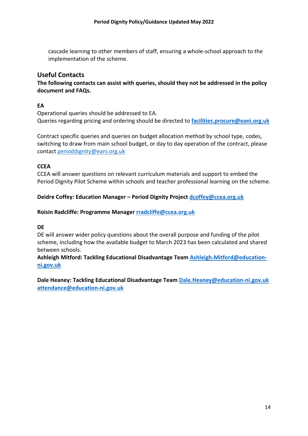cascade learning to other members of staff, ensuring a whole-school approach to the implementation of the scheme.

## <span id="page-13-0"></span>**Useful Contacts**

**The following contacts can assist with queries, should they not be addressed in the policy document and FAQs.**

## **EA**

Operational queries should be addressed to EA. Queries regarding pricing and ordering should be directed to **[facilities.procure@eani.org.uk](mailto:facilities.procure@eani.org.uk)**

Contract specific queries and queries on budget allocation method by school type, codes, switching to draw from main school budget, or day to day operation of the contract, please contact [perioddignity@eani.org.uk](mailto:perioddignity@eani.org.uk)

## **CCEA**

CCEA will answer questions on relevant curriculum materials and support to embed the Period Dignity Pilot Scheme within schools and teacher professional learning on the scheme.

## **Deidre Coffey: Education Manager – Period Dignity Project [dcoffey@ccea.org.uk](mailto:dcoffey@ccea.org.uk)**

#### **Roisin Radcliffe: Programme Manager [rradcliffe@ccea.org.uk](mailto:rradcliffe@ccea.org.uk)**

**DE**

DE will answer wider policy questions about the overall purpose and funding of the pilot scheme, including how the available budget to March 2023 has been calculated and shared between schools.

**Ashleigh Mitford: Tackling Educational Disadvantage Team [Ashleigh.Mitford@education](mailto:Ashleigh.Mitford@education-ni.gov.uk)[ni.gov.uk](mailto:Ashleigh.Mitford@education-ni.gov.uk)**

**Dale Heaney: Tackling Educational Disadvantage Team [Dale.Heaney@education-ni.gov.uk](mailto:Dale.Heaney@education-ni.gov.uk) [attendance@education-ni.gov.uk](mailto:attendance@education-ni.gov.uk)**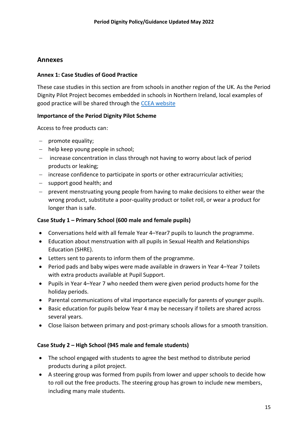# <span id="page-14-0"></span>**Annexes**

#### **Annex 1: Case Studies of Good Practice**

These case studies in this section are from schools in another region of the UK. As the Period Dignity Pilot Project becomes embedded in schools in Northern Ireland, local examples of good practice will be shared through the [CCEA website](https://ccea.org.uk/learning-resources/period-dignity)

#### **Importance of the Period Dignity Pilot Scheme**

Access to free products can:

- − promote equality;
- − help keep young people in school;
- − increase concentration in class through not having to worry about lack of period products or leaking;
- − increase confidence to participate in sports or other extracurricular activities;
- − support good health; and
- − prevent menstruating young people from having to make decisions to either wear the wrong product, substitute a poor-quality product or toilet roll, or wear a product for longer than is safe.

## **Case Study 1 – Primary School (600 male and female pupils)**

- Conversations held with all female Year 4–Year7 pupils to launch the programme.
- Education about menstruation with all pupils in Sexual Health and Relationships Education (SHRE).
- Letters sent to parents to inform them of the programme.
- Period pads and baby wipes were made available in drawers in Year 4–Year 7 toilets with extra products available at Pupil Support.
- Pupils in Year 4–Year 7 who needed them were given period products home for the holiday periods.
- Parental communications of vital importance especially for parents of younger pupils.
- Basic education for pupils below Year 4 may be necessary if toilets are shared across several years.
- Close liaison between primary and post-primary schools allows for a smooth transition.

#### **Case Study 2 – High School (945 male and female students)**

- The school engaged with students to agree the best method to distribute period products during a pilot project.
- A steering group was formed from pupils from lower and upper schools to decide how to roll out the free products. The steering group has grown to include new members, including many male students.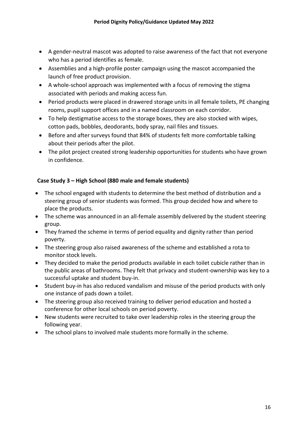- A gender-neutral mascot was adopted to raise awareness of the fact that not everyone who has a period identifies as female.
- Assemblies and a high-profile poster campaign using the mascot accompanied the launch of free product provision.
- A whole-school approach was implemented with a focus of removing the stigma associated with periods and making access fun.
- Period products were placed in drawered storage units in all female toilets, PE changing rooms, pupil support offices and in a named classroom on each corridor.
- To help destigmatise access to the storage boxes, they are also stocked with wipes, cotton pads, bobbles, deodorants, body spray, nail files and tissues.
- Before and after surveys found that 84% of students felt more comfortable talking about their periods after the pilot.
- The pilot project created strong leadership opportunities for students who have grown in confidence.

## **Case Study 3 – High School (880 male and female students)**

- The school engaged with students to determine the best method of distribution and a steering group of senior students was formed. This group decided how and where to place the products.
- The scheme was announced in an all-female assembly delivered by the student steering group.
- They framed the scheme in terms of period equality and dignity rather than period poverty.
- The steering group also raised awareness of the scheme and established a rota to monitor stock levels.
- They decided to make the period products available in each toilet cubicle rather than in the public areas of bathrooms. They felt that privacy and student-ownership was key to a successful uptake and student buy-in.
- Student buy-in has also reduced vandalism and misuse of the period products with only one instance of pads down a toilet.
- The steering group also received training to deliver period education and hosted a conference for other local schools on period poverty.
- New students were recruited to take over leadership roles in the steering group the following year.
- The school plans to involved male students more formally in the scheme.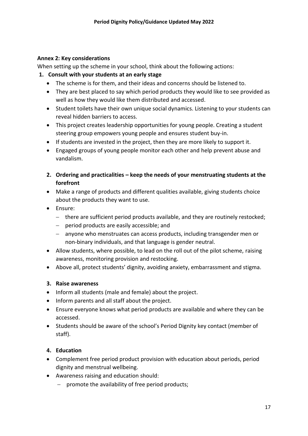#### **Annex 2: Key considerations**

When setting up the scheme in your school, think about the following actions:

### **1. Consult with your students at an early stage**

- The scheme is for them, and their ideas and concerns should be listened to.
- They are best placed to say which period products they would like to see provided as well as how they would like them distributed and accessed.
- Student toilets have their own unique social dynamics. Listening to your students can reveal hidden barriers to access.
- This project creates leadership opportunities for young people. Creating a student steering group empowers young people and ensures student buy-in.
- If students are invested in the project, then they are more likely to support it.
- Engaged groups of young people monitor each other and help prevent abuse and vandalism.
- **2. Ordering and practicalities – keep the needs of your menstruating students at the forefront**
- Make a range of products and different qualities available, giving students choice about the products they want to use.
- Ensure:
	- − there are sufficient period products available, and they are routinely restocked;
	- − period products are easily accessible; and
	- − anyone who menstruates can access products, including transgender men or non-binary individuals, and that language is gender neutral.
- Allow students, where possible, to lead on the roll out of the pilot scheme, raising awareness, monitoring provision and restocking.
- Above all, protect students' dignity, avoiding anxiety, embarrassment and stigma.

#### **3. Raise awareness**

- Inform all students (male and female) about the project.
- Inform parents and all staff about the project.
- Ensure everyone knows what period products are available and where they can be accessed.
- Students should be aware of the school's Period Dignity key contact (member of staff).

#### **4. Education**

- Complement free period product provision with education about periods, period dignity and menstrual wellbeing.
- Awareness raising and education should:
	- − promote the availability of free period products;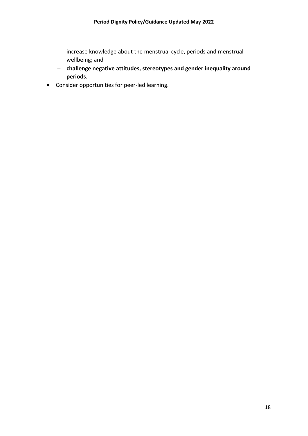- − increase knowledge about the menstrual cycle, periods and menstrual wellbeing; and
- − **challenge negative attitudes, stereotypes and gender inequality around periods**.
- Consider opportunities for peer-led learning.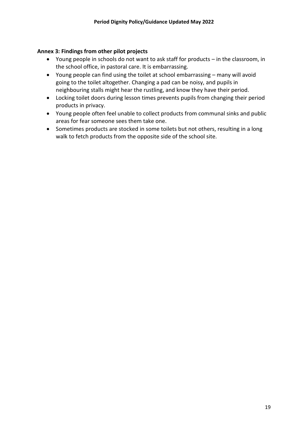#### **Annex 3: Findings from other pilot projects**

- Young people in schools do not want to ask staff for products in the classroom, in the school office, in pastoral care. It is embarrassing.
- Young people can find using the toilet at school embarrassing many will avoid going to the toilet altogether. Changing a pad can be noisy, and pupils in neighbouring stalls might hear the rustling, and know they have their period.
- Locking toilet doors during lesson times prevents pupils from changing their period products in privacy.
- Young people often feel unable to collect products from communal sinks and public areas for fear someone sees them take one.
- Sometimes products are stocked in some toilets but not others, resulting in a long walk to fetch products from the opposite side of the school site.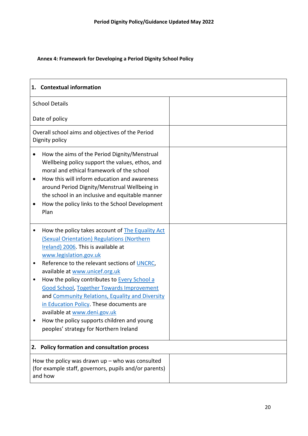## **Annex 4: Framework for Developing a Period Dignity School Policy**

| 1. Contextual information                                                                                                                                                                                                                                                                                                                                                                                                                                                                                                                                                                             |  |  |
|-------------------------------------------------------------------------------------------------------------------------------------------------------------------------------------------------------------------------------------------------------------------------------------------------------------------------------------------------------------------------------------------------------------------------------------------------------------------------------------------------------------------------------------------------------------------------------------------------------|--|--|
| <b>School Details</b>                                                                                                                                                                                                                                                                                                                                                                                                                                                                                                                                                                                 |  |  |
| Date of policy                                                                                                                                                                                                                                                                                                                                                                                                                                                                                                                                                                                        |  |  |
| Overall school aims and objectives of the Period<br>Dignity policy                                                                                                                                                                                                                                                                                                                                                                                                                                                                                                                                    |  |  |
| How the aims of the Period Dignity/Menstrual<br>٠<br>Wellbeing policy support the values, ethos, and<br>moral and ethical framework of the school<br>How this will inform education and awareness<br>$\bullet$<br>around Period Dignity/Menstrual Wellbeing in<br>the school in an inclusive and equitable manner<br>How the policy links to the School Development<br>٠<br>Plan                                                                                                                                                                                                                      |  |  |
| How the policy takes account of The Equality Act<br>(Sexual Orientation) Regulations (Northern<br>Ireland) 2006. This is available at<br>www.legislation.gov.uk<br>Reference to the relevant sections of UNCRC,<br>٠<br>available at www.unicef.org.uk<br>How the policy contributes to <b>Every School a</b><br>$\bullet$<br><b>Good School, Together Towards Improvement</b><br>and Community Relations, Equality and Diversity<br>in Education Policy. These documents are<br>available at www.deni.gov.uk<br>How the policy supports children and young<br>peoples' strategy for Northern Ireland |  |  |
| 2. Policy formation and consultation process                                                                                                                                                                                                                                                                                                                                                                                                                                                                                                                                                          |  |  |
| How the policy was drawn $up$ – who was consulted<br>(for example staff, governors, pupils and/or parents)<br>and how                                                                                                                                                                                                                                                                                                                                                                                                                                                                                 |  |  |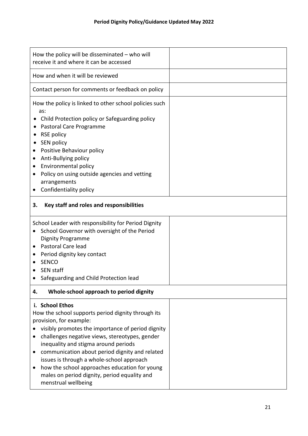| How the policy will be disseminated $-$ who will<br>receive it and where it can be accessed                                                                                                                                                                                                                                                                                                                                                                                                           |  |  |  |
|-------------------------------------------------------------------------------------------------------------------------------------------------------------------------------------------------------------------------------------------------------------------------------------------------------------------------------------------------------------------------------------------------------------------------------------------------------------------------------------------------------|--|--|--|
| How and when it will be reviewed                                                                                                                                                                                                                                                                                                                                                                                                                                                                      |  |  |  |
| Contact person for comments or feedback on policy                                                                                                                                                                                                                                                                                                                                                                                                                                                     |  |  |  |
| How the policy is linked to other school policies such<br>as:<br>Child Protection policy or Safeguarding policy<br>Pastoral Care Programme<br>RSE policy<br>SEN policy<br>Positive Behaviour policy<br>Anti-Bullying policy<br>$\bullet$<br>Environmental policy<br>$\bullet$<br>Policy on using outside agencies and vetting<br>arrangements<br>Confidentiality policy                                                                                                                               |  |  |  |
| Key staff and roles and responsibilities<br>3.                                                                                                                                                                                                                                                                                                                                                                                                                                                        |  |  |  |
| School Leader with responsibility for Period Dignity<br>School Governor with oversight of the Period<br><b>Dignity Programme</b><br>Pastoral Care lead<br>٠<br>Period dignity key contact<br>$\bullet$<br><b>SENCO</b><br>SEN staff<br>Safeguarding and Child Protection lead                                                                                                                                                                                                                         |  |  |  |
| Whole-school approach to period dignity<br>4.                                                                                                                                                                                                                                                                                                                                                                                                                                                         |  |  |  |
| i. School Ethos<br>How the school supports period dignity through its<br>provision, for example:<br>visibly promotes the importance of period dignity<br>challenges negative views, stereotypes, gender<br>$\bullet$<br>inequality and stigma around periods<br>communication about period dignity and related<br>$\bullet$<br>issues is through a whole-school approach<br>how the school approaches education for young<br>٠<br>males on period dignity, period equality and<br>menstrual wellbeing |  |  |  |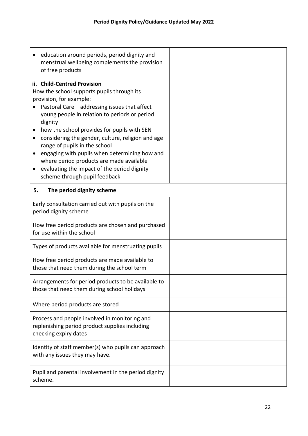| education around periods, period dignity and<br>menstrual wellbeing complements the provision<br>of free products                                                                                                                                                                                                                                                                                                                                                                                                                                     |
|-------------------------------------------------------------------------------------------------------------------------------------------------------------------------------------------------------------------------------------------------------------------------------------------------------------------------------------------------------------------------------------------------------------------------------------------------------------------------------------------------------------------------------------------------------|
| ii. Child-Centred Provision<br>How the school supports pupils through its<br>provision, for example:<br>Pastoral Care - addressing issues that affect<br>young people in relation to periods or period<br>dignity<br>how the school provides for pupils with SEN<br>considering the gender, culture, religion and age<br>٠<br>range of pupils in the school<br>engaging with pupils when determining how and<br>where period products are made available<br>evaluating the impact of the period dignity<br>$\bullet$<br>scheme through pupil feedback |
| The period dignity scheme<br>5.                                                                                                                                                                                                                                                                                                                                                                                                                                                                                                                       |
| Early consultation carried out with pupils on the<br>period dignity scheme                                                                                                                                                                                                                                                                                                                                                                                                                                                                            |
| How free period products are chosen and purchased<br>for use within the school                                                                                                                                                                                                                                                                                                                                                                                                                                                                        |
| Types of products available for menstruating pupils                                                                                                                                                                                                                                                                                                                                                                                                                                                                                                   |
| How free period products are made available to<br>those that need them during the school term                                                                                                                                                                                                                                                                                                                                                                                                                                                         |
| Arrangements for period products to be available to<br>those that need them during school holidays                                                                                                                                                                                                                                                                                                                                                                                                                                                    |
| Where period products are stored                                                                                                                                                                                                                                                                                                                                                                                                                                                                                                                      |
| Process and people involved in monitoring and<br>replenishing period product supplies including<br>checking expiry dates                                                                                                                                                                                                                                                                                                                                                                                                                              |
| Identity of staff member(s) who pupils can approach<br>with any issues they may have.                                                                                                                                                                                                                                                                                                                                                                                                                                                                 |
| Pupil and parental involvement in the period dignity<br>scheme.                                                                                                                                                                                                                                                                                                                                                                                                                                                                                       |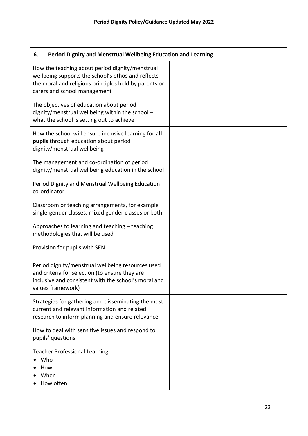| Period Dignity and Menstrual Wellbeing Education and Learning<br>6.                                                                                                                            |  |  |
|------------------------------------------------------------------------------------------------------------------------------------------------------------------------------------------------|--|--|
| How the teaching about period dignity/menstrual<br>wellbeing supports the school's ethos and reflects<br>the moral and religious principles held by parents or<br>carers and school management |  |  |
| The objectives of education about period<br>dignity/menstrual wellbeing within the school -<br>what the school is setting out to achieve                                                       |  |  |
| How the school will ensure inclusive learning for all<br>pupils through education about period<br>dignity/menstrual wellbeing                                                                  |  |  |
| The management and co-ordination of period<br>dignity/menstrual wellbeing education in the school                                                                                              |  |  |
| Period Dignity and Menstrual Wellbeing Education<br>co-ordinator                                                                                                                               |  |  |
| Classroom or teaching arrangements, for example<br>single-gender classes, mixed gender classes or both                                                                                         |  |  |
| Approaches to learning and teaching - teaching<br>methodologies that will be used                                                                                                              |  |  |
| Provision for pupils with SEN                                                                                                                                                                  |  |  |
| Period dignity/menstrual wellbeing resources used<br>and criteria for selection (to ensure they are<br>inclusive and consistent with the school's moral and<br>values framework)               |  |  |
| Strategies for gathering and disseminating the most<br>current and relevant information and related<br>research to inform planning and ensure relevance                                        |  |  |
| How to deal with sensitive issues and respond to<br>pupils' questions                                                                                                                          |  |  |
| <b>Teacher Professional Learning</b><br>Who<br>How<br>When<br>How often                                                                                                                        |  |  |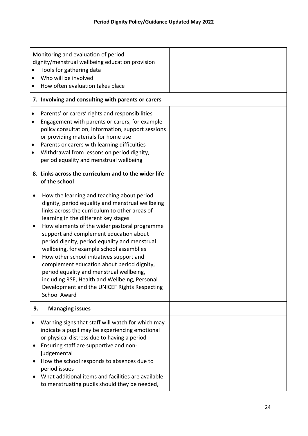| $\bullet$                           | Monitoring and evaluation of period<br>dignity/menstrual wellbeing education provision<br>Tools for gathering data<br>Who will be involved<br>How often evaluation takes place                                                                                                                                                                                                                                                                                                                                                                                                                                                               |  |
|-------------------------------------|----------------------------------------------------------------------------------------------------------------------------------------------------------------------------------------------------------------------------------------------------------------------------------------------------------------------------------------------------------------------------------------------------------------------------------------------------------------------------------------------------------------------------------------------------------------------------------------------------------------------------------------------|--|
|                                     | 7. Involving and consulting with parents or carers                                                                                                                                                                                                                                                                                                                                                                                                                                                                                                                                                                                           |  |
| $\bullet$<br>$\bullet$              | Parents' or carers' rights and responsibilities<br>Engagement with parents or carers, for example<br>policy consultation, information, support sessions<br>or providing materials for home use<br>Parents or carers with learning difficulties<br>Withdrawal from lessons on period dignity,<br>period equality and menstrual wellbeing                                                                                                                                                                                                                                                                                                      |  |
|                                     | 8. Links across the curriculum and to the wider life<br>of the school                                                                                                                                                                                                                                                                                                                                                                                                                                                                                                                                                                        |  |
| $\bullet$<br>$\bullet$<br>$\bullet$ | How the learning and teaching about period<br>dignity, period equality and menstrual wellbeing<br>links across the curriculum to other areas of<br>learning in the different key stages<br>How elements of the wider pastoral programme<br>support and complement education about<br>period dignity, period equality and menstrual<br>wellbeing, for example school assemblies<br>How other school initiatives support and<br>complement education about period dignity,<br>period equality and menstrual wellbeing,<br>including RSE, Health and Wellbeing, Personal<br>Development and the UNICEF Rights Respecting<br><b>School Award</b> |  |
| 9.                                  | <b>Managing issues</b>                                                                                                                                                                                                                                                                                                                                                                                                                                                                                                                                                                                                                       |  |
| $\bullet$<br>$\bullet$              | Warning signs that staff will watch for which may<br>indicate a pupil may be experiencing emotional<br>or physical distress due to having a period<br>Ensuring staff are supportive and non-<br>judgemental<br>How the school responds to absences due to<br>period issues<br>What additional items and facilities are available<br>to menstruating pupils should they be needed,                                                                                                                                                                                                                                                            |  |